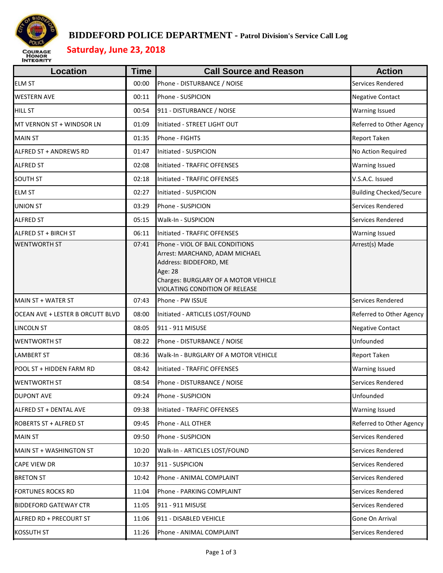

#### **BIDDEFORD POLICE DEPARTMENT - Patrol Division's Service Call Log**

# **Saturday, June 23, 2018**

| <b>Location</b>                  | <b>Time</b> | <b>Call Source and Reason</b>                                                                                                                                                           | <b>Action</b>                  |
|----------------------------------|-------------|-----------------------------------------------------------------------------------------------------------------------------------------------------------------------------------------|--------------------------------|
| <b>ELM ST</b>                    | 00:00       | Phone - DISTURBANCE / NOISE                                                                                                                                                             | Services Rendered              |
| <b>WESTERN AVE</b>               | 00:11       | Phone - SUSPICION                                                                                                                                                                       | <b>Negative Contact</b>        |
| <b>HILL ST</b>                   | 00:54       | 911 - DISTURBANCE / NOISE                                                                                                                                                               | <b>Warning Issued</b>          |
| MT VERNON ST + WINDSOR LN        | 01:09       | Initiated - STREET LIGHT OUT                                                                                                                                                            | Referred to Other Agency       |
| <b>MAIN ST</b>                   | 01:35       | Phone - FIGHTS                                                                                                                                                                          | <b>Report Taken</b>            |
| <b>ALFRED ST + ANDREWS RD</b>    | 01:47       | Initiated - SUSPICION                                                                                                                                                                   | No Action Required             |
| <b>ALFRED ST</b>                 | 02:08       | Initiated - TRAFFIC OFFENSES                                                                                                                                                            | <b>Warning Issued</b>          |
| <b>SOUTH ST</b>                  | 02:18       | Initiated - TRAFFIC OFFENSES                                                                                                                                                            | V.S.A.C. Issued                |
| <b>ELM ST</b>                    | 02:27       | Initiated - SUSPICION                                                                                                                                                                   | <b>Building Checked/Secure</b> |
| <b>UNION ST</b>                  | 03:29       | Phone - SUSPICION                                                                                                                                                                       | Services Rendered              |
| <b>ALFRED ST</b>                 | 05:15       | Walk-In - SUSPICION                                                                                                                                                                     | Services Rendered              |
| ALFRED ST + BIRCH ST             | 06:11       | Initiated - TRAFFIC OFFENSES                                                                                                                                                            | <b>Warning Issued</b>          |
| <b>WENTWORTH ST</b>              | 07:41       | Phone - VIOL OF BAIL CONDITIONS<br>Arrest: MARCHAND, ADAM MICHAEL<br>Address: BIDDEFORD, ME<br>Age: 28<br>Charges: BURGLARY OF A MOTOR VEHICLE<br><b>VIOLATING CONDITION OF RELEASE</b> | Arrest(s) Made                 |
| MAIN ST + WATER ST               | 07:43       | Phone - PW ISSUE                                                                                                                                                                        | Services Rendered              |
| OCEAN AVE + LESTER B ORCUTT BLVD | 08:00       | Initiated - ARTICLES LOST/FOUND                                                                                                                                                         | Referred to Other Agency       |
| <b>LINCOLN ST</b>                | 08:05       | 911 - 911 MISUSE                                                                                                                                                                        | <b>Negative Contact</b>        |
| <b>WENTWORTH ST</b>              | 08:22       | Phone - DISTURBANCE / NOISE                                                                                                                                                             | Unfounded                      |
| <b>LAMBERT ST</b>                | 08:36       | Walk-In - BURGLARY OF A MOTOR VEHICLE                                                                                                                                                   | <b>Report Taken</b>            |
| POOL ST + HIDDEN FARM RD         | 08:42       | Initiated - TRAFFIC OFFENSES                                                                                                                                                            | <b>Warning Issued</b>          |
| <b>WENTWORTH ST</b>              | 08:54       | Phone - DISTURBANCE / NOISE                                                                                                                                                             | <b>Services Rendered</b>       |
| <b>DUPONT AVE</b>                | 09:24       | Phone - SUSPICION                                                                                                                                                                       | Unfounded                      |
| ALFRED ST + DENTAL AVE           | 09:38       | Initiated - TRAFFIC OFFENSES                                                                                                                                                            | <b>Warning Issued</b>          |
| <b>ROBERTS ST + ALFRED ST</b>    | 09:45       | Phone - ALL OTHER                                                                                                                                                                       | Referred to Other Agency       |
| <b>MAIN ST</b>                   | 09:50       | Phone - SUSPICION                                                                                                                                                                       | Services Rendered              |
| MAIN ST + WASHINGTON ST          | 10:20       | Walk-In - ARTICLES LOST/FOUND                                                                                                                                                           | Services Rendered              |
| <b>CAPE VIEW DR</b>              | 10:37       | 911 - SUSPICION                                                                                                                                                                         | Services Rendered              |
| <b>BRETON ST</b>                 | 10:42       | Phone - ANIMAL COMPLAINT                                                                                                                                                                | Services Rendered              |
| <b>FORTUNES ROCKS RD</b>         | 11:04       | Phone - PARKING COMPLAINT                                                                                                                                                               | Services Rendered              |
| <b>BIDDEFORD GATEWAY CTR</b>     | 11:05       | 911 - 911 MISUSE                                                                                                                                                                        | Services Rendered              |
| ALFRED RD + PRECOURT ST          | 11:06       | 911 - DISABLED VEHICLE                                                                                                                                                                  | Gone On Arrival                |
| <b>KOSSUTH ST</b>                | 11:26       | Phone - ANIMAL COMPLAINT                                                                                                                                                                | Services Rendered              |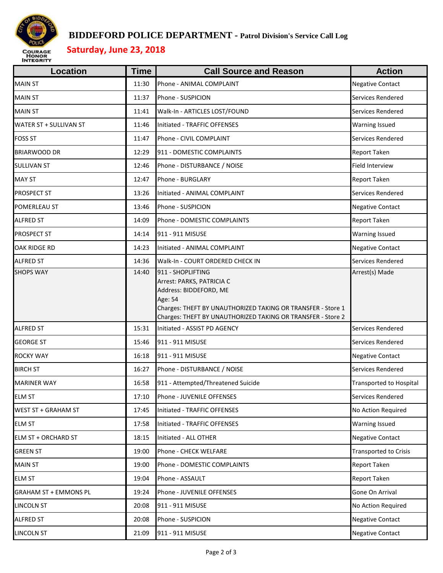

#### **BIDDEFORD POLICE DEPARTMENT - Patrol Division's Service Call Log**

# **Saturday, June 23, 2018**

| Location                     | <b>Time</b> | <b>Call Source and Reason</b>                                                                                                                                                                | <b>Action</b>                  |
|------------------------------|-------------|----------------------------------------------------------------------------------------------------------------------------------------------------------------------------------------------|--------------------------------|
| <b>MAIN ST</b>               | 11:30       | Phone - ANIMAL COMPLAINT                                                                                                                                                                     | <b>Negative Contact</b>        |
| <b>MAIN ST</b>               | 11:37       | Phone - SUSPICION                                                                                                                                                                            | Services Rendered              |
| <b>MAIN ST</b>               | 11:41       | Walk-In - ARTICLES LOST/FOUND                                                                                                                                                                | Services Rendered              |
| WATER ST + SULLIVAN ST       | 11:46       | Initiated - TRAFFIC OFFENSES                                                                                                                                                                 | <b>Warning Issued</b>          |
| <b>FOSS ST</b>               | 11:47       | Phone - CIVIL COMPLAINT                                                                                                                                                                      | Services Rendered              |
| <b>BRIARWOOD DR</b>          | 12:29       | 911 - DOMESTIC COMPLAINTS                                                                                                                                                                    | Report Taken                   |
| <b>SULLIVAN ST</b>           | 12:46       | Phone - DISTURBANCE / NOISE                                                                                                                                                                  | Field Interview                |
| <b>MAY ST</b>                | 12:47       | Phone - BURGLARY                                                                                                                                                                             | Report Taken                   |
| <b>PROSPECT ST</b>           | 13:26       | Initiated - ANIMAL COMPLAINT                                                                                                                                                                 | Services Rendered              |
| POMERLEAU ST                 | 13:46       | Phone - SUSPICION                                                                                                                                                                            | <b>Negative Contact</b>        |
| <b>ALFRED ST</b>             | 14:09       | Phone - DOMESTIC COMPLAINTS                                                                                                                                                                  | Report Taken                   |
| <b>PROSPECT ST</b>           | 14:14       | 911 - 911 MISUSE                                                                                                                                                                             | <b>Warning Issued</b>          |
| OAK RIDGE RD                 | 14:23       | Initiated - ANIMAL COMPLAINT                                                                                                                                                                 | <b>Negative Contact</b>        |
| <b>ALFRED ST</b>             | 14:36       | Walk-In - COURT ORDERED CHECK IN                                                                                                                                                             | Services Rendered              |
|                              |             | Arrest: PARKS, PATRICIA C<br>Address: BIDDEFORD, ME<br>Age: 54<br>Charges: THEFT BY UNAUTHORIZED TAKING OR TRANSFER - Store 1<br>Charges: THEFT BY UNAUTHORIZED TAKING OR TRANSFER - Store 2 |                                |
| <b>ALFRED ST</b>             | 15:31       | Initiated - ASSIST PD AGENCY                                                                                                                                                                 | Services Rendered              |
| <b>GEORGE ST</b>             | 15:46       | 911 - 911 MISUSE                                                                                                                                                                             | Services Rendered              |
| <b>ROCKY WAY</b>             | 16:18       | 911 - 911 MISUSE                                                                                                                                                                             | <b>Negative Contact</b>        |
| <b>BIRCH ST</b>              | 16:27       | Phone - DISTURBANCE / NOISE                                                                                                                                                                  | Services Rendered              |
| <b>MARINER WAY</b>           | 16:58       | 911 - Attempted/Threatened Suicide                                                                                                                                                           | <b>Transported to Hospital</b> |
| <b>ELM ST</b>                | 17:10       | Phone - JUVENILE OFFENSES                                                                                                                                                                    | Services Rendered              |
| <b>WEST ST + GRAHAM ST</b>   | 17:45       | Initiated - TRAFFIC OFFENSES                                                                                                                                                                 | No Action Required             |
| <b>ELM ST</b>                | 17:58       | Initiated - TRAFFIC OFFENSES                                                                                                                                                                 | Warning Issued                 |
| <b>ELM ST + ORCHARD ST</b>   | 18:15       | Initiated - ALL OTHER                                                                                                                                                                        | <b>Negative Contact</b>        |
| <b>GREEN ST</b>              | 19:00       | Phone - CHECK WELFARE                                                                                                                                                                        | <b>Transported to Crisis</b>   |
| <b>MAIN ST</b>               | 19:00       | Phone - DOMESTIC COMPLAINTS                                                                                                                                                                  | Report Taken                   |
| <b>ELM ST</b>                | 19:04       | Phone - ASSAULT                                                                                                                                                                              | Report Taken                   |
| <b>GRAHAM ST + EMMONS PL</b> | 19:24       | Phone - JUVENILE OFFENSES                                                                                                                                                                    | Gone On Arrival                |
| LINCOLN ST                   | 20:08       | 911 - 911 MISUSE                                                                                                                                                                             | No Action Required             |
| <b>ALFRED ST</b>             | 20:08       | Phone - SUSPICION                                                                                                                                                                            | <b>Negative Contact</b>        |
| <b>LINCOLN ST</b>            | 21:09       | 911 - 911 MISUSE                                                                                                                                                                             | <b>Negative Contact</b>        |